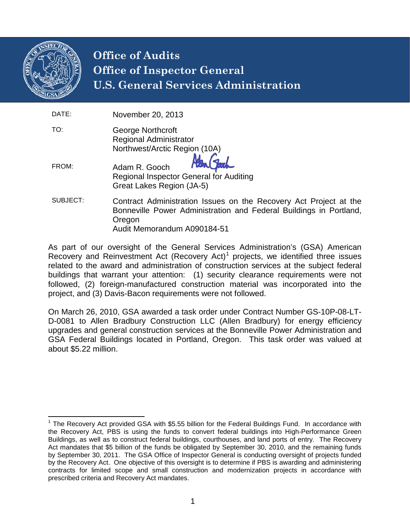

# **Office of Audits Office of Inspector General U.S. General Services Administration**

| DATE:    | November 20, 2013                                                                                                                                                                |
|----------|----------------------------------------------------------------------------------------------------------------------------------------------------------------------------------|
| TO:      | George Northcroft<br><b>Regional Administrator</b><br>Northwest/Arctic Region (10A)                                                                                              |
| FROM:    | Adam R. Gooch<br>Regional Inspector General for Auditing<br>Great Lakes Region (JA-5)                                                                                            |
| SUBJECT: | Contract Administration Issues on the Recovery Act Project at the<br>Bonneville Power Administration and Federal Buildings in Portland,<br>Oregon<br>Audit Memorandum A090184-51 |

As part of our oversight of the General Services Administration's (GSA) American Recovery and Reinvestment Act (Recovery Act)<sup>[1](#page-0-0)</sup> projects, we identified three issues related to the award and administration of construction services at the subject federal buildings that warrant your attention: (1) security clearance requirements were not followed, (2) foreign-manufactured construction material was incorporated into the project, and (3) Davis-Bacon requirements were not followed.

On March 26, 2010, GSA awarded a task order under Contract Number GS-10P-08-LT-D-0081 to Allen Bradbury Construction LLC (Allen Bradbury) for energy efficiency upgrades and general construction services at the Bonneville Power Administration and GSA Federal Buildings located in Portland, Oregon. This task order was valued at about \$5.22 million.

<span id="page-0-0"></span> $1$  The Recovery Act provided GSA with \$5.55 billion for the Federal Buildings Fund. In accordance with the Recovery Act, PBS is using the funds to convert federal buildings into High-Performance Green Buildings, as well as to construct federal buildings, courthouses, and land ports of entry. The Recovery Act mandates that \$5 billion of the funds be obligated by September 30, 2010, and the remaining funds by September 30, 2011. The GSA Office of Inspector General is conducting oversight of projects funded by the Recovery Act. One objective of this oversight is to determine if PBS is awarding and administering contracts for limited scope and small construction and modernization projects in accordance with prescribed criteria and Recovery Act mandates.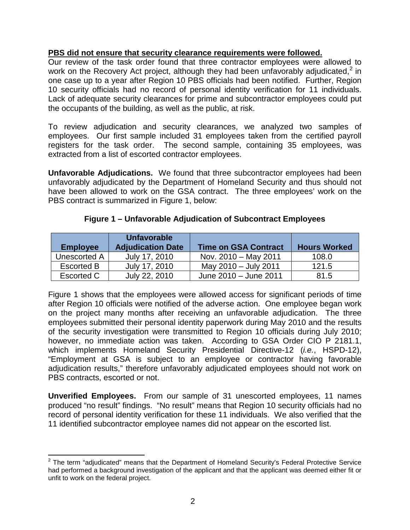#### **PBS did not ensure that security clearance requirements were followed.**

Our review of the task order found that three contractor employees were allowed to work on the Recovery Act project, although they had been unfavorably adjudicated,<sup>[2](#page-1-0)</sup> in one case up to a year after Region 10 PBS officials had been notified. Further, Region 10 security officials had no record of personal identity verification for 11 individuals. Lack of adequate security clearances for prime and subcontractor employees could put the occupants of the building, as well as the public, at risk.

To review adjudication and security clearances, we analyzed two samples of employees. Our first sample included 31 employees taken from the certified payroll registers for the task order. The second sample, containing 35 employees, was extracted from a list of escorted contractor employees.

**Unfavorable Adjudications.** We found that three subcontractor employees had been unfavorably adjudicated by the Department of Homeland Security and thus should not have been allowed to work on the GSA contract. The three employees' work on the PBS contract is summarized in Figure 1, below:

| <b>Employee</b>   | <b>Unfavorable</b><br><b>Adjudication Date</b> | <b>Time on GSA Contract</b> | <b>Hours Worked</b> |
|-------------------|------------------------------------------------|-----------------------------|---------------------|
| Unescorted A      | July 17, 2010                                  | Nov. 2010 - May 2011        | 108.0               |
| <b>Escorted B</b> | July 17, 2010                                  | May 2010 - July 2011        | 121.5               |
| Escorted C        | July 22, 2010                                  | June 2010 - June 2011       | 81.5                |

**Figure 1 – Unfavorable Adjudication of Subcontract Employees**

Figure 1 shows that the employees were allowed access for significant periods of time after Region 10 officials were notified of the adverse action. One employee began work on the project many months after receiving an unfavorable adjudication. The three employees submitted their personal identity paperwork during May 2010 and the results of the security investigation were transmitted to Region 10 officials during July 2010; however, no immediate action was taken. According to GSA Order CIO P 2181.1, which implements Homeland Security Presidential Directive-12 (*i.e.*, HSPD-12), "Employment at GSA is subject to an employee or contractor having favorable adjudication results," therefore unfavorably adjudicated employees should not work on PBS contracts, escorted or not.

**Unverified Employees.** From our sample of 31 unescorted employees, 11 names produced "no result" findings. "No result" means that Region 10 security officials had no record of personal identity verification for these 11 individuals. We also verified that the 11 identified subcontractor employee names did not appear on the escorted list.

<span id="page-1-0"></span> $2$  The term "adjudicated" means that the Department of Homeland Security's Federal Protective Service had performed a background investigation of the applicant and that the applicant was deemed either fit or unfit to work on the federal project.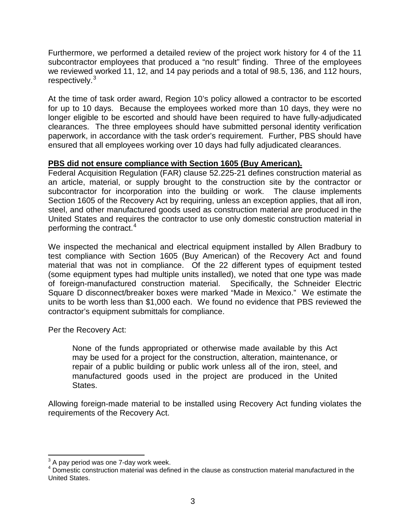Furthermore, we performed a detailed review of the project work history for 4 of the 11 subcontractor employees that produced a "no result" finding. Three of the employees we reviewed worked 11, 12, and 14 pay periods and a total of 98.5, 136, and 112 hours, respectively.<sup>[3](#page-2-0)</sup>

At the time of task order award, Region 10's policy allowed a contractor to be escorted for up to 10 days. Because the employees worked more than 10 days, they were no longer eligible to be escorted and should have been required to have fully-adjudicated clearances. The three employees should have submitted personal identity verification paperwork, in accordance with the task order's requirement. Further, PBS should have ensured that all employees working over 10 days had fully adjudicated clearances.

### **PBS did not ensure compliance with Section 1605 (Buy American).**

Federal Acquisition Regulation (FAR) clause 52.225-21 defines construction material as an article, material, or supply brought to the construction site by the contractor or subcontractor for incorporation into the building or work. The clause implements Section 1605 of the Recovery Act by requiring, unless an exception applies, that all iron, steel, and other manufactured goods used as construction material are produced in the United States and requires the contractor to use only domestic construction material in performing the contract.[4](#page-2-1)

We inspected the mechanical and electrical equipment installed by Allen Bradbury to test compliance with Section 1605 (Buy American) of the Recovery Act and found material that was not in compliance. Of the 22 different types of equipment tested (some equipment types had multiple units installed), we noted that one type was made of foreign-manufactured construction material. Specifically, the Schneider Electric Square D disconnect/breaker boxes were marked "Made in Mexico." We estimate the units to be worth less than \$1,000 each. We found no evidence that PBS reviewed the contractor's equipment submittals for compliance.

Per the Recovery Act:

None of the funds appropriated or otherwise made available by this Act may be used for a project for the construction, alteration, maintenance, or repair of a public building or public work unless all of the iron, steel, and manufactured goods used in the project are produced in the United States.

Allowing foreign-made material to be installed using Recovery Act funding violates the requirements of the Recovery Act.

<span id="page-2-0"></span> $3$  A pay period was one 7-day work week.

<span id="page-2-1"></span><sup>&</sup>lt;sup>4</sup> Domestic construction material was defined in the clause as construction material manufactured in the United States.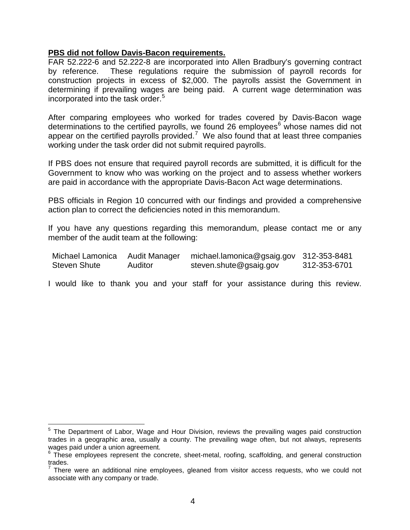#### **PBS did not follow Davis-Bacon requirements.**

FAR 52.222-6 and 52.222-8 are incorporated into Allen Bradbury's governing contract by reference. These regulations require the submission of payroll records for construction projects in excess of \$2,000. The payrolls assist the Government in determining if prevailing wages are being paid. A current wage determination was incorporated into the task order.<sup>[5](#page-3-0)</sup>

After comparing employees who worked for trades covered by Davis-Bacon wage determinations to the certified payrolls, we found 2[6](#page-3-1) employees $<sup>6</sup>$  whose names did not</sup> appear on the certified payrolls provided.<sup>[7](#page-3-2)</sup> We also found that at least three companies working under the task order did not submit required payrolls.

If PBS does not ensure that required payroll records are submitted, it is difficult for the Government to know who was working on the project and to assess whether workers are paid in accordance with the appropriate Davis-Bacon Act wage determinations.

PBS officials in Region 10 concurred with our findings and provided a comprehensive action plan to correct the deficiencies noted in this memorandum.

If you have any questions regarding this memorandum, please contact me or any member of the audit team at the following:

| Michael Lamonica    | Audit Manager | michael.lamonica@gsaig.gov 312-353-8481 |              |
|---------------------|---------------|-----------------------------------------|--------------|
| <b>Steven Shute</b> | Auditor       | steven.shute@gsaig.gov                  | 312-353-6701 |

I would like to thank you and your staff for your assistance during this review.

<span id="page-3-0"></span><sup>&</sup>lt;sup>5</sup> The Department of Labor, Wage and Hour Division, reviews the prevailing wages paid construction trades in a geographic area, usually a county. The prevailing wage often, but not always, represents wages paid under a union agreement.

<span id="page-3-1"></span>wages paid driver a driver agreement.<br>
<sup>6</sup> These employees represent the concrete, sheet-metal, roofing, scaffolding, and general construction trades.

<span id="page-3-2"></span>There were an additional nine employees, gleaned from visitor access requests, who we could not associate with any company or trade.